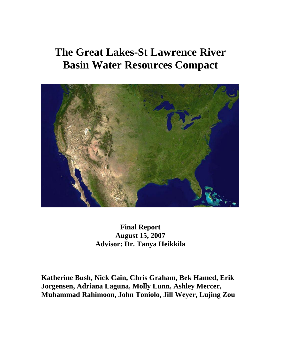# **The Great Lakes-St Lawrence River Basin Water Resources Compact**



**Final Report August 15, 2007 Advisor: Dr. Tanya Heikkila**

**Katherine Bush, Nick Cain, Chris Graham, Bek Hamed, Erik Jorgensen, Adriana Laguna, Molly Lunn, Ashley Mercer, Muhammad Rahimoon, John Toniolo, Jill Weyer, Lujing Zou**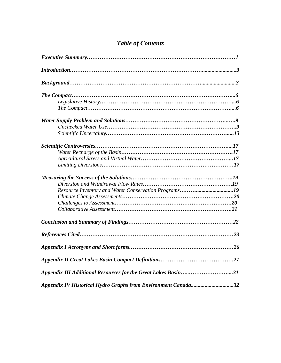## *Table of Contents*

| Resource Inventory and Water Conservation Programs19          |  |  |  |  |
|---------------------------------------------------------------|--|--|--|--|
|                                                               |  |  |  |  |
|                                                               |  |  |  |  |
|                                                               |  |  |  |  |
|                                                               |  |  |  |  |
|                                                               |  |  |  |  |
|                                                               |  |  |  |  |
|                                                               |  |  |  |  |
| Appendix III Additional Resources for the Great Lakes Basin31 |  |  |  |  |
| Appendix IV Historical Hydro Graphs from Environment Canada32 |  |  |  |  |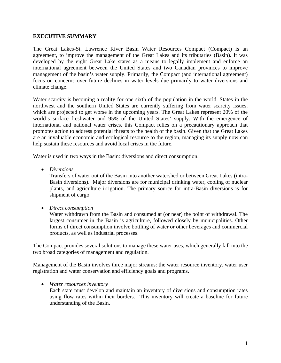#### **EXECUTIVE SUMMARY**

The Great Lakes-St. Lawrence River Basin Water Resources Compact (Compact) is an agreement, to improve the management of the Great Lakes and its tributaries (Basin). It was developed by the eight Great Lake states as a means to legally implement and enforce an international agreement between the United States and two Canadian provinces to improve management of the basin's water supply. Primarily, the Compact (and international agreement) focus on concerns over future declines in water levels due primarily to water diversions and climate change.

Water scarcity is becoming a reality for one sixth of the population in the world. States in the northwest and the southern United States are currently suffering from water scarcity issues, which are projected to get worse in the upcoming years. The Great Lakes represent 20% of the world's surface freshwater and 95% of the United States' supply. With the emergence of international and national water crises, this Compact relies on a precautionary approach that promotes action to address potential threats to the health of the basin. Given that the Great Lakes are an invaluable economic and ecological resource to the region, managing its supply now can help sustain these resources and avoid local crises in the future.

Water is used in two ways in the Basin: diversions and direct consumption.

• *Diversions* 

Transfers of water out of the Basin into another watershed or between Great Lakes (intra-Basin diversions). Major diversions are for municipal drinking water, cooling of nuclear plants, and agriculture irrigation. The primary source for intra-Basin diversions is for shipment of cargo.

• *Direct consumption* 

Water withdrawn from the Basin and consumed at (or near) the point of withdrawal. The largest consumer in the Basin is agriculture, followed closely by municipalities. Other forms of direct consumption involve bottling of water or other beverages and commercial products, as well as industrial processes.

The Compact provides several solutions to manage these water uses, which generally fall into the two broad categories of management and regulation.

Management of the Basin involves three major streams: the water resource inventory, water user registration and water conservation and efficiency goals and programs.

• *Water resources inventory*

Each state must develop and maintain an inventory of diversions and consumption rates using flow rates within their borders. This inventory will create a baseline for future understanding of the Basin.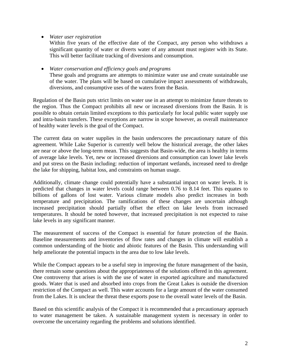• *Water user registration*

Within five years of the effective date of the Compact, any person who withdraws a significant quantity of water or diverts water of any amount must register with its State. This will better facilitate tracking of diversions and consumption.

• *Water conservation and efficiency goals and programs* These goals and programs are attempts to minimize water use and create sustainable use of the water. The plans will be based on cumulative impact assessments of withdrawals, diversions, and consumptive uses of the waters from the Basin.

Regulation of the Basin puts strict limits on water use in an attempt to minimize future threats to the region. Thus the Compact prohibits all new or increased diversions from the Basin. It is possible to obtain certain limited exceptions to this particularly for local public water supply use and intra-basin transfers. These exceptions are narrow in scope however, as overall maintenance of healthy water levels is the goal of the Compact.

The current data on water supplies in the basin underscores the precautionary nature of this agreement. While Lake Superior is currently well below the historical average, the other lakes are near or above the long-term mean. This suggests that Basin-wide, the area is healthy in terms of average lake levels. Yet, new or increased diversions and consumption can lower lake levels and put stress on the Basin including: reduction of important wetlands, increased need to dredge the lake for shipping, habitat loss, and constraints on human usage.

Additionally, climate change could potentially have a substantial impact on water levels. It is predicted that changes in water levels could range between 0.76 to 8.14 feet. This equates to billions of gallons of lost water. Various climate models also predict increases in both temperature and precipitation. The ramifications of these changes are uncertain although increased precipitation should partially offset the effect on lake levels from increased temperatures. It should be noted however, that increased precipitation is not expected to raise lake levels in any significant manner.

The measurement of success of the Compact is essential for future protection of the Basin. Baseline measurements and inventories of flow rates and changes in climate will establish a common understanding of the biotic and abiotic features of the Basin. This understanding will help ameliorate the potential impacts in the area due to low lake levels.

While the Compact appears to be a useful step in improving the future management of the basin, there remain some questions about the appropriateness of the solutions offered in this agreement. One controversy that arises is with the use of water in exported agriculture and manufactured goods. Water that is used and absorbed into crops from the Great Lakes is outside the diversion restriction of the Compact as well. This water accounts for a large amount of the water consumed from the Lakes. It is unclear the threat these exports pose to the overall water levels of the Basin.

Based on this scientific analysis of the Compact it is recommended that a precautionary approach to water management be taken. A sustainable management system is necessary in order to overcome the uncertainty regarding the problems and solutions identified.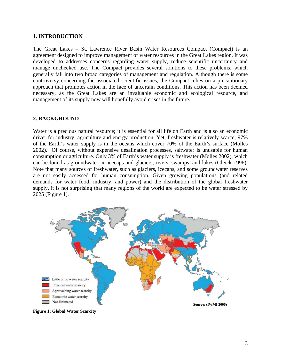#### **1. INTRODUCTION**

The Great Lakes – St. Lawrence River Basin Water Resources Compact (Compact) is an agreement designed to improve management of water resources in the Great Lakes region. It was developed to addresses concerns regarding water supply, reduce scientific uncertainty and manage unchecked use. The Compact provides several solutions to these problems, which generally fall into two broad categories of management and regulation. Although there is some controversy concerning the associated scientific issues, the Compact relies on a precautionary approach that promotes action in the face of uncertain conditions. This action has been deemed necessary, as the Great Lakes are an invaluable economic and ecological resource, and management of its supply now will hopefully avoid crises in the future.

#### **2. BACKGROUND**

Water is a precious natural resource; it is essential for all life on Earth and is also an economic driver for industry, agriculture and energy production. Yet, freshwater is relatively scarce; 97% of the Earth's water supply is in the oceans which cover 70% of the Earth's surface (Molles 2002). Of course, without expensive desalination processes, saltwater is unusable for human consumption or agriculture. Only 3% of Earth's water supply is freshwater (Molles 2002), which can be found as groundwater, in icecaps and glaciers, rivers, swamps, and lakes (Gleick 1996). Note that many sources of freshwater, such as glaciers, icecaps, and some groundwater reserves are not easily accessed for human consumption. Given growing populations (and related demands for water food, industry, and power) and the distribution of the global freshwater supply, it is not surprising that many regions of the world are expected to be water stressed by 2025 (Figure 1).



**Figure 1: Global Water Scarcity**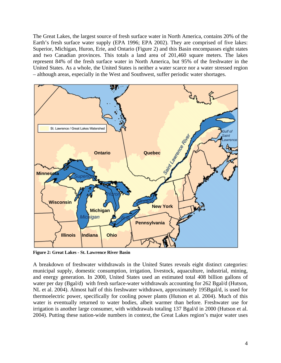The Great Lakes, the largest source of fresh surface water in North America, contains 20% of the Earth's fresh surface water supply (EPA 1996; EPA 2002). They are comprised of five lakes: Superior, Michigan, Huron, Erie, and Ontario (Figure 2) and this Basin encompasses eight states and two Canadian provinces. This totals a land area of 201,460 square meters. The lakes represent 84% of the fresh surface water in North America, but 95% of the freshwater in the United States. As a whole, the United States is neither a water scarce nor a water stressed region – although areas, especially in the West and Southwest, suffer periodic water shortages.



**Figure 2: Great Lakes - St. Lawrence River Basin** 

A breakdown of freshwater withdrawals in the United States reveals eight distinct categories: municipal supply, domestic consumption, irrigation, livestock, aquaculture, industrial, mining, and energy generation. In 2000, United States used an estimated total 408 billion gallons of water per day (Bgal/d) with fresh surface-water withdrawals accounting for 262 Bgal/d (Hutson, NL et al. 2004). Almost half of this freshwater withdrawn, approximately 195Bgal/d, is used for thermoelectric power, specifically for cooling power plants (Hutson et al. 2004). Much of this water is eventually returned to water bodies, albeit warmer than before. Freshwater use for irrigation is another large consumer, with withdrawals totaling 137 Bgal/d in 2000 (Hutson et al. 2004). Putting these nation-wide numbers in context, the Great Lakes region's major water uses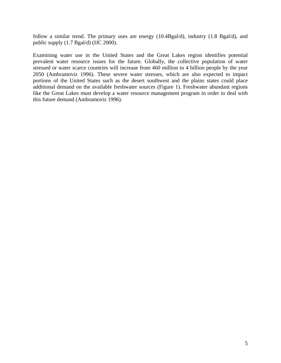follow a similar trend. The primary uses are energy (10.4Bgal/d), industry (1.8 Bgal/d), and public supply (1.7 Bgal/d) (IJC 2000).

Examining water use in the United States and the Great Lakes region identifies potential prevalent water resource issues for the future. Globally, the collective population of water stressed or water scarce countries will increase from 460 million to 4 billion people by the year 2050 (Ambramoviz 1996). These severe water stresses, which are also expected to impact portions of the United States such as the desert southwest and the plains states could place additional demand on the available freshwater sources (Figure 1). Freshwater abundant regions like the Great Lakes must develop a water resource management program in order to deal with this future demand (Ambramoviz 1996).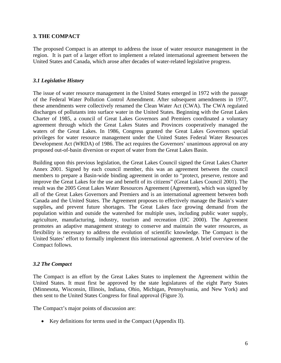#### **3. THE COMPACT**

The proposed Compact is an attempt to address the issue of water resource management in the region. It is part of a larger effort to implement a related international agreement between the United States and Canada, which arose after decades of water-related legislative progress.

#### *3.1 Legislative History*

The issue of water resource management in the United States emerged in 1972 with the passage of the Federal Water Pollution Control Amendment. After subsequent amendments in 1977, these amendments were collectively renamed the Clean Water Act (CWA). The CWA regulated discharges of pollutants into surface water in the United States. Beginning with the Great Lakes Charter of 1985, a council of Great Lakes Governors and Premiers coordinated a voluntary agreement through which the Great Lakes States and Provinces cooperatively managed the waters of the Great Lakes. In 1986, Congress granted the Great Lakes Governors special privileges for water resource management under the United States Federal Water Resources Development Act (WRDA) of 1986. The act requires the Governors' unanimous approval on any proposed out-of-basin diversion or export of water from the Great Lakes Basin.

Building upon this previous legislation, the Great Lakes Council signed the Great Lakes Charter Annex 2001. Signed by each council member, this was an agreement between the council members to prepare a Basin-wide binding agreement in order to "protect, preserve, restore and improve the Great Lakes for the use and benefit of its citizens" (Great Lakes Council 2001). The result was the 2005 Great Lakes Water Resources Agreement (Agreement), which was signed by all of the Great Lakes Governors and Premiers and is an international agreement between both Canada and the United States. The Agreement proposes to effectively manage the Basin's water supplies**,** and prevent future shortages. The Great Lakes face growing demand from the population within and outside the watershed for multiple uses, including public water supply, agriculture, manufacturing, industry, tourism and recreation (IJC 2000). The Agreement promotes an adaptive management strategy to conserve and maintain the water resources, as flexibility is necessary to address the evolution of scientific knowledge. The Compact is the United States' effort to formally implement this international agreement. A brief overview of the Compact follows.

#### *3.2 The Compact*

The Compact is an effort by the Great Lakes States to implement the Agreement within the United States. It must first be approved by the state legislatures of the eight Party States (Minnesota, Wisconsin, Illinois, Indiana, Ohio, Michigan, Pennsylvania, and New York) and then sent to the United States Congress for final approval (Figure 3).

The Compact's major points of discussion are:

• Key definitions for terms used in the Compact (Appendix II).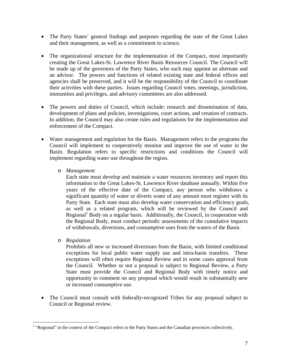- The Party States' general findings and purposes regarding the state of the Great Lakes and their management, as well as a commitment to science.
- The organizational structure for the implementation of the Compact, most importantly creating the Great Lakes-St. Lawrence River Basin Resources Council. The Council will be made up of the governors of the Party States, who each may appoint an alternate and an advisor. The powers and functions of related existing state and federal offices and agencies shall be preserved, and it will be the responsibility of the Council to coordinate their activities with these parties. Issues regarding Council votes, meetings, jurisdiction, immunities and privileges, and advisory committees are also addressed.
- The powers and duties of Council, which include: research and dissemination of data, development of plans and policies, investigations, court actions, and creation of contracts. In addition, the Council may also create rules and regulations for the implementation and enforcement of the Compact.
- Water management and regulation for the Basin. Management refers to the programs the Council will implement to cooperatively monitor and improve the use of water in the Basin. Regulation refers to specific restrictions and conditions the Council will implement regarding water use throughout the region.
	- o *Management*

Each state must develop and maintain a water resources inventory and report this information to the Great Lakes-St. Lawrence River database annually. Within five years of the effective date of the Compact, any person who withdraws a significant quantity of water or diverts water of any amount must register with its Party State. Each state must also develop water conservation and efficiency goals, as well as a related program, which will be reviewed by the Council and Regional<sup>1</sup> Body on a regular basis. Additionally, the Council, in cooperation with the Regional Body, must conduct periodic assessments of the cumulative impacts of withdrawals, diversions, and consumptive uses from the waters of the Basin.

o *Regulation* 

 $\overline{a}$ 

Prohibits all new or increased diversions from the Basin, with limited conditional exceptions for local public water supply use and intra-basin transfers. These exceptions will often require Regional Review and in some cases approval from the Council. Whether or not a proposal is subject to Regional Review, a Party State must provide the Council and Regional Body with timely notice and opportunity to comment on any proposal which would result in substantially new or increased consumptive use.

• The Council must consult with federally-recognized Tribes for any proposal subject to Council or Regional review.

<sup>&</sup>lt;sup>1</sup> "Regional" in the context of the Compact refers to the Party States and the Canadian provinces collectively.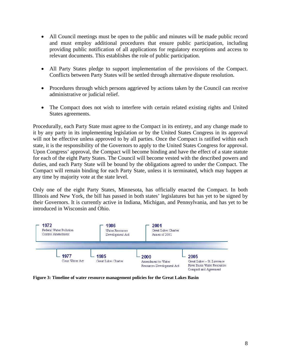- All Council meetings must be open to the public and minutes will be made public record and must employ additional procedures that ensure public participation, including providing public notification of all applications for regulatory exceptions and access to relevant documents. This establishes the role of public participation.
- All Party States pledge to support implementation of the provisions of the Compact. Conflicts between Party States will be settled through alternative dispute resolution.
- Procedures through which persons aggrieved by actions taken by the Council can receive administrative or judicial relief.
- The Compact does not wish to interfere with certain related existing rights and United States agreements.

Procedurally, each Party State must agree to the Compact in its entirety, and any change made to it by any party in its implementing legislation or by the United States Congress in its approval will not be effective unless approved to by all parties. Once the Compact is ratified within each state, it is the responsibility of the Governors to apply to the United States Congress for approval. Upon Congress' approval, the Compact will become binding and have the effect of a state statute for each of the eight Party States. The Council will become vested with the described powers and duties, and each Party State will be bound by the obligations agreed to under the Compact. The Compact will remain binding for each Party State, unless it is terminated, which may happen at any time by majority vote at the state level.

Only one of the eight Party States, Minnesota, has officially enacted the Compact. In both Illinois and New York, the bill has passed in both states' legislatures but has yet to be signed by their Governors. It is currently active in Indiana, Michigan, and Pennsylvania, and has yet to be introduced in Wisconsin and Ohio.



**Figure 3: Timeline of water resource management policies for the Great Lakes Basin**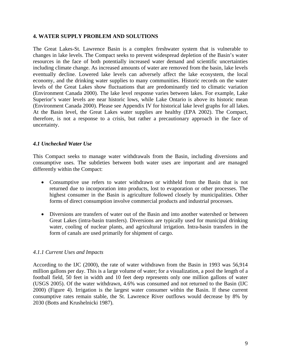#### **4. WATER SUPPLY PROBLEM AND SOLUTIONS**

The Great Lakes-St. Lawrence Basin is a complex freshwater system that is vulnerable to changes in lake levels. The Compact seeks to prevent widespread depletion of the Basin's water resources in the face of both potentially increased water demand and scientific uncertainties including climate change. As increased amounts of water are removed from the basin, lake levels eventually decline. Lowered lake levels can adversely affect the lake ecosystem, the local economy, and the drinking water supplies to many communities. Historic records on the water levels of the Great Lakes show fluctuations that are predominantly tied to climatic variation (Environment Canada 2000). The lake level response varies between lakes. For example, Lake Superior's water levels are near historic lows, while Lake Ontario is above its historic mean (Environment Canada 2000). Please see Appendix IV for historical lake level graphs for all lakes. At the Basin level, the Great Lakes water supplies are healthy (EPA 2002). The Compact, therefore, is not a response to a crisis, but rather a precautionary approach in the face of uncertainty.

#### *4.1 Unchecked Water Use*

This Compact seeks to manage water withdrawals from the Basin, including diversions and consumptive uses. The subtleties between both water uses are important and are managed differently within the Compact:

- Consumptive use refers to water withdrawn or withheld from the Basin that is not returned due to incorporation into products, lost to evaporation or other processes. The highest consumer in the Basin is agriculture followed closely by municipalities. Other forms of direct consumption involve commercial products and industrial processes.
- Diversions are transfers of water out of the Basin and into another watershed or between Great Lakes (intra-basin transfers). Diversions are typically used for municipal drinking water, cooling of nuclear plants, and agricultural irrigation. Intra-basin transfers in the form of canals are used primarily for shipment of cargo.

#### *4.1.1 Current Uses and Impacts*

According to the IJC (2000), the rate of water withdrawn from the Basin in 1993 was 56,914 million gallons per day. This is a large volume of water; for a visualization, a pool the length of a football field, 50 feet in width and 10 feet deep represents only one million gallons of water (USGS 2005). Of the water withdrawn, 4.6% was consumed and not returned to the Basin (IJC 2000) (Figure 4). Irrigation is the largest water consumer within the Basin. If these current consumptive rates remain stable, the St. Lawrence River outflows would decrease by 8% by 2030 (Botts and Krushelnicki 1987).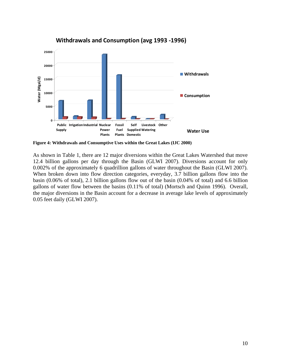

#### **Withdrawals and Consumption (avg 1993 ‐1996)**

**Figure 4: Withdrawals and Consumptive Uses within the Great Lakes (IJC 2000)** 

As shown in Table 1, there are 12 major diversions within the Great Lakes Watershed that move 12.4 billion gallons per day through the Basin (GLWI 2007). Diversions account for only 0.002% of the approximately 6 quadrillion gallons of water throughout the Basin (GLWI 2007). When broken down into flow direction categories, everyday, 3.7 billion gallons flow into the basin (0.06% of total), 2.1 billion gallons flow out of the basin (0.04% of total) and 6.6 billion gallons of water flow between the basins (0.11% of total) (Mortsch and Quinn 1996). Overall, the major diversions in the Basin account for a decrease in average lake levels of approximately 0.05 feet daily (GLWI 2007).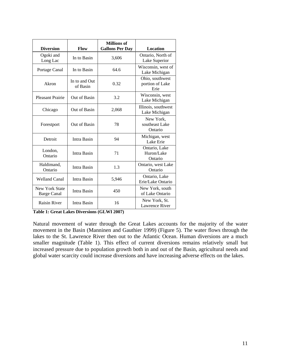| <b>Diversion</b>                            | <b>Flow</b>               | <b>Millions of</b><br><b>Gallons Per Day</b> | <b>Location</b>                            |
|---------------------------------------------|---------------------------|----------------------------------------------|--------------------------------------------|
| Ogoki and<br>Long Lac                       | In to Basin               | 3,606                                        | Ontario, North of<br>Lake Superior         |
| Portage Canal                               | In to Basin               | 64.6                                         | Wisconsin, west of<br>Lake Michigan        |
| Akron                                       | In to and Out<br>of Basin | 0.32                                         | Ohio, southwest<br>portion of Lake<br>Erie |
| <b>Pleasant Prairie</b>                     | Out of Basin              | 3.2                                          | Wisconsin, west<br>Lake Michigan           |
| Chicago                                     | Out of Basin              | 2,068                                        | Illinois, southwest<br>Lake Michigan       |
| Forestport                                  | Out of Basin              | 78                                           | New York,<br>southeast Lake<br>Ontario     |
| Detroit                                     | Intra Basin               | 94                                           | Michigan, west<br>Lake Erie                |
| London,<br>Ontario                          | Intra Basin               | 71                                           | Ontario, Lake<br>Huron/Lake<br>Ontario     |
| Haldimand,<br>Ontario                       | Intra Basin               | 1.3                                          | Ontario, west Lake<br>Ontario              |
| <b>Welland Canal</b>                        | Intra Basin               | 5,946                                        | Ontario, Lake<br>Erie/Lake Ontario         |
| <b>New York State</b><br><b>Barge Canal</b> | Intra Basin               | 450                                          | New York, south<br>of Lake Ontario         |
| <b>Raisin River</b>                         | Intra Basin               | 16                                           | New York, St.<br><b>Lawrence River</b>     |

**Table 1: Great Lakes Diversions (GLWI 2007)** 

Natural movement of water through the Great Lakes accounts for the majority of the water movement in the Basin (Manninen and Gauthier 1999) (Figure 5). The water flows through the lakes to the St. Lawrence River then out to the Atlantic Ocean. Human diversions are a much smaller magnitude (Table 1). This effect of current diversions remains relatively small but increased pressure due to population growth both in and out of the Basin, agricultural needs and global water scarcity could increase diversions and have increasing adverse effects on the lakes.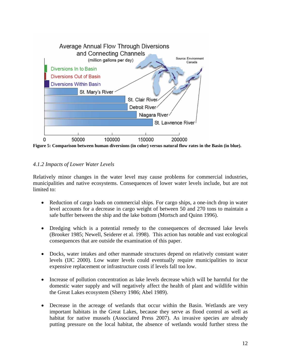

**Figure 5: Comparison between human diversions (in color) versus natural flow rates in the Basin (in blue).** 

#### *4.1.2 Impacts of Lower Water Levels*

Relatively minor changes in the water level may cause problems for commercial industries, municipalities and native ecosystems. Consequences of lower water levels include, but are not limited to:

- Reduction of cargo loads on commercial ships. For cargo ships, a one-inch drop in water level accounts for a decrease in cargo weight of between 50 and 270 tons to maintain a safe buffer between the ship and the lake bottom (Mortsch and Quinn 1996).
- Dredging which is a potential remedy to the consequences of decreased lake levels (Brooker 1985; Newell, Seiderer et al. 1998). This action has notable and vast ecological consequences that are outside the examination of this paper.
- Docks, water intakes and other manmade structures depend on relatively constant water levels (IJC 2000). Low water levels could eventually require municipalities to incur expensive replacement or infrastructure costs if levels fall too low.
- Increase of pollution concentration as lake levels decrease which will be harmful for the domestic water supply and will negatively affect the health of plant and wildlife within the Great Lakes ecosystem (Sherry 1986; Abel 1989).
- Decrease in the acreage of wetlands that occur within the Basin. Wetlands are very important habitats in the Great Lakes, because they serve as flood control as well as habitat for native mussels (Associated Press 2007). As invasive species are already putting pressure on the local habitat, the absence of wetlands would further stress the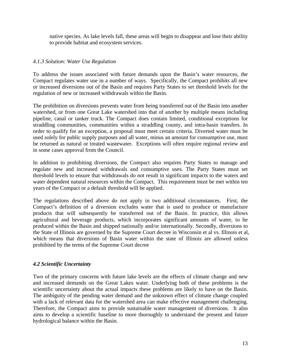native species. As lake levels fall, these areas will begin to disappear and lose their ability to provide habitat and ecosystem services.

#### *4.1.3 Solution: Water Use Regulation*

To address the issues associated with future demands upon the Basin's water resources, the Compact regulates water use in a number of ways. Specifically, the Compact prohibits all new or increased diversions out of the Basin and requires Party States to set threshold levels for the regulation of new or increased withdrawals within the Basin.

The prohibition on diversions prevents water from being transferred out of the Basin into another watershed, or from one Great Lake watershed into that of another by multiple means including pipeline, canal or tanker truck. The Compact does contain limited, conditional exceptions for straddling communities, communities within a straddling county, and intra-basin transfers. In order to qualify for an exception, a proposal must meet certain criteria. Diverted water must be used solely for public supply purposes and all water, minus an amount for consumptive use, must be returned as natural or treated wastewater. Exceptions will often require regional review and in some cases approval from the Council.

In addition to prohibiting diversions, the Compact also requires Party States to manage and regulate new and increased withdrawals and consumptive uses. The Party States must set threshold levels to ensure that withdrawals do not result in significant impacts to the waters and water dependent natural resources within the Compact. This requirement must be met within ten years of the Compact or a default threshold will be applied.

The regulations described above do not apply in two additional circumstances. First, the Compact's definition of a diversion excludes water that is used to produce or manufacture products that will subsequently be transferred out of the Basin. In practice, this allows agricultural and beverage products, which incorporates significant amounts of water, to be produced within the Basin and shipped nationally and/or internationally. Secondly, diversions to the State of Illinois are governed by the Supreme Court decree in Wisconsin et al vs. Illinois et al, which means that diversions of Basin water within the state of Illinois are allowed unless prohibited by the terms of the Supreme Court decree

#### *4.2 Scientific Uncertainty*

Two of the primary concerns with future lake levels are the effects of climate change and new and increased demands on the Great Lakes water. Underlying both of these problems is the scientific uncertainty about the actual impacts these problems are likely to have on the Basin. The ambiguity of the pending water demand and the unknown effect of climate change coupled with a lack of relevant data for the watershed area can make effective management challenging. Therefore, the Compact aims to provide sustainable water management of diversions. It also aims to develop a scientific baseline to more thoroughly to understand the present and future hydrological balance within the Basin.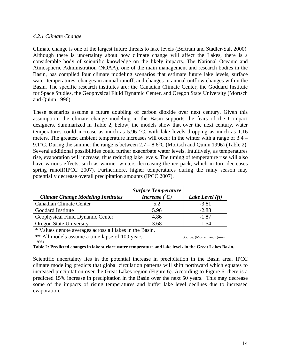#### *4.2.1 Climate Change*

Climate change is one of the largest future threats to lake levels (Bertram and Stadler-Salt 2000). Although there is uncertainty about how climate change will affect the Lakes, there is a considerable body of scientific knowledge on the likely impacts. The National Oceanic and Atmospheric Administration (NOAA), one of the main management and research bodies in the Basin, has compiled four climate modeling scenarios that estimate future lake levels, surface water temperatures, changes in annual runoff, and changes in annual outflow changes within the Basin. The specific research institutes are: the Canadian Climate Center, the Goddard Institute for Space Studies, the Geophysical Fluid Dynamic Center, and Oregon State University (Mortsch and Quinn 1996).

These scenarios assume a future doubling of carbon dioxide over next century. Given this assumption, the climate change modeling in the Basin supports the fears of the Compact designers. Summarized in Table 2, below, the models show that over the next century, water temperatures could increase as much as 5.96 °C, with lake levels dropping as much as 1.16 meters. The greatest ambient temperature increases will occur in the winter with a range of 3.4 – 9.1°C. During the summer the range is between 2.7 – 8.6°C (Mortsch and Quinn 1996) (Table 2). Several additional possibilities could further exacerbate water levels. Intuitively, as temperatures rise, evaporation will increase, thus reducing lake levels. The timing of temperature rise will also have various effects, such as warmer winters decreasing the ice pack, which in turn decreases spring runoff(IPCC 2007). Furthermore, higher temperatures during the rainy season may potentially decrease overall precipitation amounts (IPCC 2007).

| <b>Climate Change Modeling Institutes</b>                                              | <b>Surface Temperature</b><br>Increase $({}^{\circ}C)$ | Lake Level (ft) |  |  |
|----------------------------------------------------------------------------------------|--------------------------------------------------------|-----------------|--|--|
| <b>Canadian Climate Center</b>                                                         | 5.2                                                    | $-3.81$         |  |  |
| Goddard Institute                                                                      | 5.96                                                   | $-2.88$         |  |  |
| Geophysical Fluid Dynamic Center                                                       | 4.86                                                   | $-1.87$         |  |  |
| <b>Oregon State University</b>                                                         | 3.68                                                   | $-1.54$         |  |  |
| * Values denote averages across all lakes in the Basin.                                |                                                        |                 |  |  |
| ** All models assume a time lapse of 100 years.<br>Source: (Mortsch and Quinn<br>1996) |                                                        |                 |  |  |

**Table 2: Predicted changes in lake surface water temperature and lake levels in the Great Lakes Basin.** 

Scientific uncertainty lies in the potential increase in precipitation in the Basin area. IPCC climate modeling predicts that global circulation patterns will shift northward which equates to increased precipitation over the Great Lakes region (Figure 6). According to Figure 6, there is a predicted 15% increase in precipitation in the Basin over the next 50 years. This may decrease some of the impacts of rising temperatures and buffer lake level declines due to increased evaporation.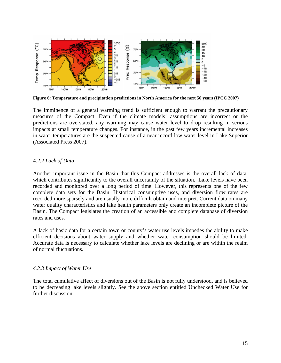

**Figure 6: Temperature and precipitation predictions in North America for the next 50 years (IPCC 2007)** 

The imminence of a general warming trend is sufficient enough to warrant the precautionary measures of the Compact. Even if the climate models' assumptions are incorrect or the predictions are overstated, any warming may cause water level to drop resulting in serious impacts at small temperature changes. For instance, in the past few years incremental increases in water temperatures are the suspected cause of a near record low water level in Lake Superior (Associated Press 2007).

#### *4.2.2 Lack of Data*

Another important issue in the Basin that this Compact addresses is the overall lack of data, which contributes significantly to the overall uncertainty of the situation. Lake levels have been recorded and monitored over a long period of time. However, this represents one of the few complete data sets for the Basin. Historical consumptive uses, and diversion flow rates are recorded more sparsely and are usually more difficult obtain and interpret. Current data on many water quality characteristics and lake health parameters only create an incomplete picture of the Basin. The Compact legislates the creation of an accessible and complete database of diversion rates and uses.

A lack of basic data for a certain town or county's water use levels impedes the ability to make efficient decisions about water supply and whether water consumption should be limited. Accurate data is necessary to calculate whether lake levels are declining or are within the realm of normal fluctuations.

#### *4.2.3 Impact of Water Use*

The total cumulative affect of diversions out of the Basin is not fully understood, and is believed to be decreasing lake levels slightly. See the above section entitled Unchecked Water Use for further discussion.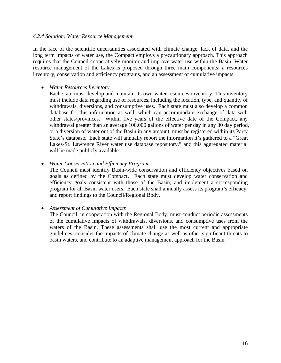#### *4.2.4 Solution: Water Resource Management*

In the face of the scientific uncertainties associated with climate change, lack of data, and the long term impacts of water use, the Compact employs a precautionary approach. This approach requires that the Council cooperatively monitor and improve water use within the Basin. Water resource management of the Lakes is proposed through three main components: a resources inventory, conservation and efficiency programs, and an assessment of cumulative impacts.

#### • *Water Resources Inventory*

Each state must develop and maintain its own water resources inventory. This inventory must include data regarding use of resources, including the location, type, and quantity of withdrawals, diversions, and consumptive uses. Each state must also develop a common database for this information as well, which can accommodate exchange of data with other states/provinces. Within five years of the effective date of the Compact, any withdrawal greater than an average 100,000 gallons of water per day in any 30 day period, or a diversion of water out of the Basin in any amount, must be registered within its Party State's database. Each state will annually report the information it's gathered to a "Great Lakes-St. Lawrence River water use database repository," and this aggregated material will be made publicly available.

#### • *Water Conservation and Efficiency Programs*

The Council must identify Basin-wide conservation and efficiency objectives based on goals as defined by the Compact. Each state must develop water conservation and efficiency goals consistent with those of the Basin, and implement a corresponding program for all Basin water users. Each state shall annually assess its program's efficacy, and report findings to the Council/Regional Body.

#### • *Assessment of Cumulative Impacts*

The Council, in cooperation with the Regional Body, must conduct periodic assessments of the cumulative impacts of withdrawals, diversions, and consumptive uses from the waters of the Basin. These assessments shall use the most current and appropriate guidelines, consider the impacts of climate change as well as other significant threats to basin waters, and contribute to an adaptive management approach for the Basin.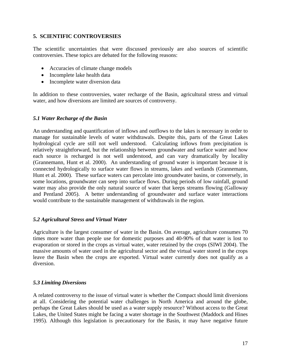#### **5. SCIENTIFIC CONTROVERSIES**

The scientific uncertainties that were discussed previously are also sources of scientific controversies. These topics are debated for the following reasons:

- Accuracies of climate change models
- Incomplete lake health data
- Incomplete water diversion data

In addition to these controversies, water recharge of the Basin, agricultural stress and virtual water, and how diversions are limited are sources of controversy.

#### *5.1 Water Recharge of the Basin*

An understanding and quantification of inflows and outflows to the lakes is necessary in order to manage for sustainable levels of water withdrawals. Despite this, parts of the Great Lakes hydrological cycle are still not well understood. Calculating inflows from precipitation is relatively straightforward, but the relationship between groundwater and surface water and how each source is recharged is not well understood, and can vary dramatically by locality (Grannemann, Hunt et al. 2000). An understanding of ground water is important because it is connected hydrologically to surface water flows in streams, lakes and wetlands (Grannemann, Hunt et al. 2000). These surface waters can percolate into groundwater basins, or conversely, in some locations, groundwater can seep into surface flows. During periods of low rainfall, ground water may also provide the only natural source of water that keeps streams flowing (Galloway and Pentland 2005). A better understanding of groundwater and surface water interactions would contribute to the sustainable management of withdrawals in the region.

#### *5.2 Agricultural Stress and Virtual Water*

Agriculture is the largest consumer of water in the Basin. On average, agriculture consumes 70 times more water than people use for domestic purposes and 40-90% of that water is lost to evaporation or stored in the crops as virtual water, water retained by the crops (SIWI 2004). The massive amounts of water used in the agricultural sector and the virtual water stored in the crops leave the Basin when the crops are exported. Virtual water currently does not qualify as a diversion.

#### *5.3 Limiting Diversions*

A related controversy to the issue of virtual water is whether the Compact should limit diversions at all. Considering the potential water challenges in North America and around the globe, perhaps the Great Lakes should be used as a water supply resource? Without access to the Great Lakes, the United States might be facing a water shortage in the Southwest (Maddock and Hines 1995). Although this legislation is precautionary for the Basin, it may have negative future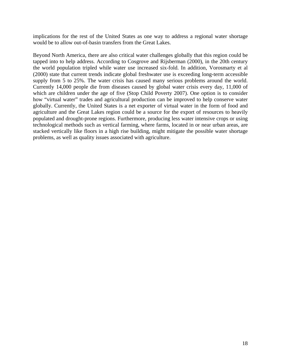implications for the rest of the United States as one way to address a regional water shortage would be to allow out-of-basin transfers from the Great Lakes.

Beyond North America, there are also critical water challenges globally that this region could be tapped into to help address. According to Cosgrove and Rijsberman (2000), in the 20th century the world population tripled while water use increased six-fold. In addition, Vorosmarty et al (2000) state that current trends indicate global freshwater use is exceeding long-term accessible supply from 5 to 25%. The water crisis has caused many serious problems around the world. Currently 14,000 people die from diseases caused by global water crisis every day, 11,000 of which are children under the age of five (Stop Child Poverty 2007). One option is to consider how "virtual water" trades and agricultural production can be improved to help conserve water globally. Currently, the United States is a net exporter of virtual water in the form of food and agriculture and the Great Lakes region could be a source for the export of resources to heavily populated and drought-prone regions. Furthermore, producing less water intensive crops or using technological methods such as vertical farming, where farms, located in or near urban areas, are stacked vertically like floors in a high rise building, might mitigate the possible water shortage problems, as well as quality issues associated with agriculture.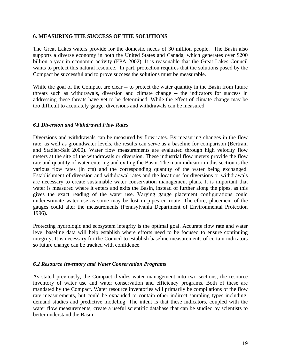#### **6. MEASURING THE SUCCESS OF THE SOLUTIONS**

The Great Lakes waters provide for the domestic needs of 30 million people. The Basin also supports a diverse economy in both the United States and Canada, which generates over \$200 billion a year in economic activity (EPA 2002). It is reasonable that the Great Lakes Council wants to protect this natural resource. In part, protection requires that the solutions posed by the Compact be successful and to prove success the solutions must be measurable.

While the goal of the Compact are clear -- to protect the water quantity in the Basin from future threats such as withdrawals, diversion and climate change -- the indicators for success in addressing these threats have yet to be determined. While the effect of climate change may be too difficult to accurately gauge, diversions and withdrawals can be measured

#### *6.1 Diversion and Withdrawal Flow Rates*

Diversions and withdrawals can be measured by flow rates. By measuring changes in the flow rate, as well as groundwater levels, the results can serve as a baseline for comparison (Bertram and Stadler-Salt 2000). Water flow measurements are evaluated through high velocity flow meters at the site of the withdrawals or diversion. These industrial flow meters provide the flow rate and quantity of water entering and exiting the Basin. The main indicator in this section is the various flow rates (in cfs) and the corresponding quantity of the water being exchanged. Establishment of diversion and withdrawal rates and the locations for diversions or withdrawals are necessary to create sustainable water conservation management plans. It is important that water is measured where it enters and exits the Basin, instead of further along the pipes, as this gives the exact reading of the water use. Varying gauge placement configurations could underestimate water use as some may be lost in pipes en route. Therefore, placement of the gauges could alter the measurements (Pennsylvania Department of Environmental Protection 1996).

Protecting hydrologic and ecosystem integrity is the optimal goal. Accurate flow rate and water level baseline data will help establish where efforts need to be focused to ensure continuing integrity. It is necessary for the Council to establish baseline measurements of certain indicators so future change can be tracked with confidence.

#### *6.2 Resource Inventory and Water Conservation Programs*

As stated previously, the Compact divides water management into two sections, the resource inventory of water use and water conservation and efficiency programs. Both of these are mandated by the Compact. Water resource inventories will primarily be compilations of the flow rate measurements, but could be expanded to contain other indirect sampling types including: demand studies and predictive modeling. The intent is that these indicators, coupled with the water flow measurements, create a useful scientific database that can be studied by scientists to better understand the Basin.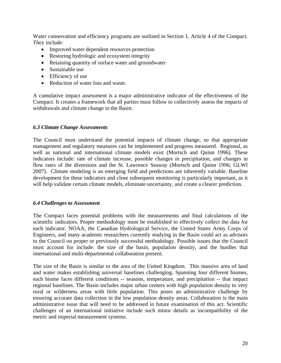Water conservation and efficiency programs are outlined in Section 1, Article 4 of the Compact. They include:

- Improved water dependent resources protection
- Restoring hydrologic and ecosystem integrity
- Retaining quantity of surface water and groundwater
- Sustainable use
- Efficiency of use
- Reduction of water loss and waste.

A cumulative impact assessment is a major administrative indicator of the effectiveness of the Compact. It creates a framework that all parties must follow to collectively assess the impacts of withdrawals and climate change in the Basin.

#### *6.3 Climate Change Assessments*

The Council must understand the potential impacts of climate change, so that appropriate management and regulatory measures can be implemented and progress measured. Regional, as well as national and international climate models exist (Mortsch and Quinn 1996). These indicators include: rate of climate increase, possible changes in precipitation, and changes in flow rates of the diversions and the St. Lawrence Seaway (Mortsch and Quinn 1996; GLWI 2007). Climate modeling is an emerging field and predictions are inherently variable. Baseline development for these indicators and close subsequent monitoring is particularly important, as it will help validate certain climate models, eliminate uncertainty, and create a clearer prediction.

#### *6.4 Challenges to Assessment*

The Compact faces potential problems with the measurements and final calculations of the scientific indicators. Proper methodology must be established to effectively collect the data for each indicator. NOAA, the Canadian Hydrological Service, the United States Army Corps of Engineers, and many academic researchers currently studying in the Basin could act as advisors to the Council on proper or previously successful methodology. Possible issues that the Council must account for include: the size of the basin, population density, and the hurdles that international and multi-departmental collaboration present.

The size of the Basin is similar to the area of the United Kingdom. This massive area of land and water makes establishing universal baselines challenging. Spanning four different biomes, each biome faces different conditions -- seasons, temperature, and precipitation -- that impact regional baselines. The Basin includes major urban centers with high population density to very rural or wilderness areas with little population. This poses an administrative challenge by ensuring accurate data collection in the low population density areas. Collaboration is the main administrative issue that will need to be addressed in future examination of this act. Scientific challenges of an international initiative include such minor details as incompatibility of the metric and imperial measurement systems.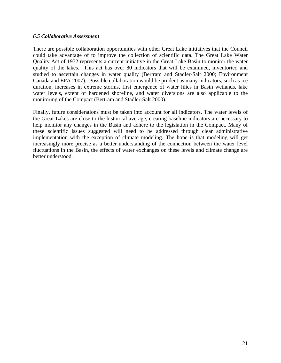#### *6.5 Collaborative Assessment*

There are possible collaboration opportunities with other Great Lake initiatives that the Council could take advantage of to improve the collection of scientific data. The Great Lake Water Quality Act of 1972 represents a current initiative in the Great Lake Basin to monitor the water quality of the lakes. This act has over 80 indicators that will be examined, inventoried and studied to ascertain changes in water quality (Bertram and Stadler-Salt 2000; Environment Canada and EPA 2007). Possible collaboration would be prudent as many indicators, such as ice duration, increases in extreme storms, first emergence of water lilies in Basin wetlands, lake water levels, extent of hardened shoreline, and water diversions are also applicable to the monitoring of the Compact (Bertram and Stadler-Salt 2000).

Finally, future considerations must be taken into account for all indicators. The water levels of the Great Lakes are close to the historical average, creating baseline indicators are necessary to help monitor any changes in the Basin and adhere to the legislation in the Compact. Many of these scientific issues suggested will need to be addressed through clear administrative implementation with the exception of climate modeling. The hope is that modeling will get increasingly more precise as a better understanding of the connection between the water level fluctuations in the Basin, the effects of water exchanges on these levels and climate change are better understood.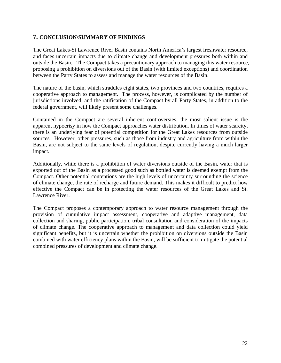#### **7. CONCLUSION/SUMMARY OF FINDINGS**

The Great Lakes-St Lawrence River Basin contains North America's largest freshwater resource, and faces uncertain impacts due to climate change and development pressures both within and outside the Basin. The Compact takes a precautionary approach to managing this water resource, proposing a prohibition on diversions out of the Basin (with limited exceptions) and coordination between the Party States to assess and manage the water resources of the Basin.

The nature of the basin, which straddles eight states, two provinces and two countries, requires a cooperative approach to management. The process, however, is complicated by the number of jurisdictions involved, and the ratification of the Compact by all Party States, in addition to the federal government, will likely present some challenges.

Contained in the Compact are several inherent controversies, the most salient issue is the apparent hypocrisy in how the Compact approaches water distribution. In times of water scarcity, there is an underlying fear of potential competition for the Great Lakes resources from outside sources. However, other pressures, such as those from industry and agriculture from within the Basin, are not subject to the same levels of regulation, despite currently having a much larger impact.

Additionally, while there is a prohibition of water diversions outside of the Basin, water that is exported out of the Basin as a processed good such as bottled water is deemed exempt from the Compact. Other potential contentions are the high levels of uncertainty surrounding the science of climate change, the rate of recharge and future demand. This makes it difficult to predict how effective the Compact can be in protecting the water resources of the Great Lakes and St. Lawrence River.

The Compact proposes a contemporary approach to water resource management through the provision of cumulative impact assessment, cooperative and adaptive management, data collection and sharing, public participation, tribal consultation and consideration of the impacts of climate change. The cooperative approach to management and data collection could yield significant benefits, but it is uncertain whether the prohibition on diversions outside the Basin combined with water efficiency plans within the Basin, will be sufficient to mitigate the potential combined pressures of development and climate change.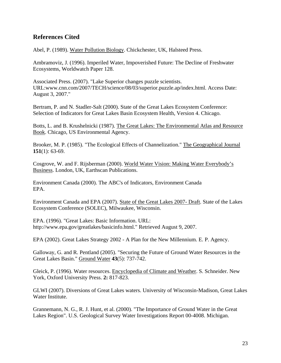#### **References Cited**

Abel, P. (1989). Water Pollution Biology. Chickchester, UK, Halsteed Press.

Ambramoviz, J. (1996). Imperiled Water, Impoverished Future: The Decline of Freshwater Ecosystems, Worldwatch Paper 128.

Associated Press. (2007). "Lake Superior changes puzzle scientists. URL:www.cnn.com/2007/TECH/science/08/03/superior.puzzle.ap/index.html. Access Date: August 3, 2007."

Bertram, P. and N. Stadler-Salt (2000). State of the Great Lakes Ecosystem Conference: Selection of Indicators for Great Lakes Basin Ecosystem Health, Version 4. Chicago.

Botts, L. and B. Krushelnicki (1987). The Great Lakes: The Environmental Atlas and Resource Book. Chicago, US Environmental Agency.

Brooker, M. P. (1985). "The Ecological Effects of Channelization." The Geographical Journal **151**(1): 63-69.

Cosgrove, W. and F. Rijsberman (2000). World Water Vision: Making Water Everybody's Business. London, UK, Earthscan Publications.

Environment Canada (2000). The ABC's of Indicators, Environment Canada EPA.

Environment Canada and EPA (2007). State of the Great Lakes 2007- Draft. State of the Lakes Ecosystem Conference (SOLEC), Milwaukee, Wisconsin.

EPA. (1996). "Great Lakes: Basic Information. URL: http://www.epa.gov/greatlakes/basicinfo.html." Retrieved August 9, 2007.

EPA (2002). Great Lakes Strategy 2002 - A Plan for the New Millennium. E. P. Agency.

Galloway, G. and R. Pentland (2005). "Securing the Future of Ground Water Resources in the Great Lakes Basin." Ground Water **43**(5): 737-742.

Gleick, P. (1996). Water resources. Encyclopedia of Climate and Weather. S. Schneider. New York, Oxford University Press. **2:** 817-823.

GLWI (2007). Diversions of Great Lakes waters. University of Wisconsin-Madison, Great Lakes Water Institute.

Grannemann, N. G., R. J. Hunt, et al. (2000). "The Importance of Ground Water in the Great Lakes Region". U.S. Geological Survey Water Investigations Report 00-4008. Michigan.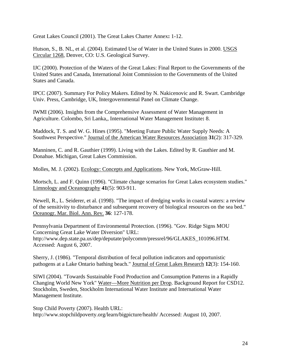Great Lakes Council (2001). The Great Lakes Charter Annex**:** 1-12.

Hutson, S., B. NL, et al. (2004). Estimated Use of Water in the United States in 2000. USGS Circular 1268, Denver, CO: U.S. Geological Survey.

IJC (2000). Protection of the Waters of the Great Lakes: Final Report to the Governments of the United States and Canada, International Joint Commission to the Governments of the United States and Canada.

IPCC (2007). Summary For Policy Makers. Edited by N. Nakicenovic and R. Swart. Cambridge Univ. Press, Cambridge, UK, Intergovernmental Panel on Climate Change.

IWMI (2006). Insights from the Comprehensive Assessment of Water Management in Agriculture. Colombo, Sri Lanka,, International Water Management Institute**:** 8.

Maddock, T. S. and W. G. Hines (1995). "Meeting Future Public Water Supply Needs: A Southwest Perspective." Journal of the American Water Resources Association **31**(2): 317-329.

Manninen, C. and R. Gauthier (1999). Living with the Lakes. Edited by R. Gauthier and M. Donahue. Michigan, Great Lakes Commission.

Molles, M. J. (2002). Ecology: Concepts and Applications. New York, McGraw-Hill.

Mortsch, L. and F. Quinn (1996). "Climate change scenarios for Great Lakes ecosystem studies." Limnology and Oceanography **41**(5): 903-911.

Newell, R., L. Seiderer, et al. (1998). "The impact of dredging works in coastal waters: a review of the sensitivity to disturbance and subsequent recovery of biological resources on the sea bed." Oceanogr. Mar. Biol. Ann. Rev. **36**: 127-178.

Pennsylvania Department of Environmental Protection. (1996). "Gov. Ridge Signs MOU Concerning Great Lake Water Diversion" URL: http://www.dep.state.pa.us/dep/deputate/polycomm/pressrel/96/GLAKES\_101096.HTM. Accessed: August 6, 2007.

Sherry, J. (1986). "Temporal distribution of fecal pollution indicators and opportunistic pathogens at a Lake Ontario bathing beach." Journal of Great Lakes Research **12**(3): 154-160.

SIWI (2004). "Towards Sustainable Food Production and Consumption Patterns in a Rapidly Changing World New York" Water—More Nutrition per Drop. Background Report for CSD12. Stockholm, Sweden, Stockholm International Water Institute and International Water Management Institute.

Stop Child Poverty (2007). Health URL: http://www.stopchildpoverty.org/learn/bigpicture/health/ Accessed: August 10, 2007.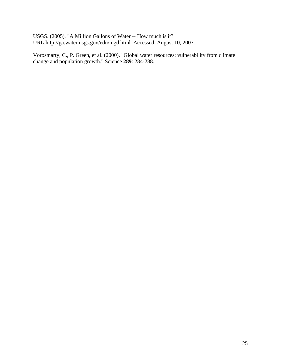USGS. (2005). "A Million Gallons of Water -- How much is it?" URL:http://ga.water.usgs.gov/edu/mgd.html. Accessed: August 10, 2007.

Vorosmarty, C., P. Green, et al. (2000). "Global water resources: vulnerability from climate change and population growth." Science **289**: 284-288.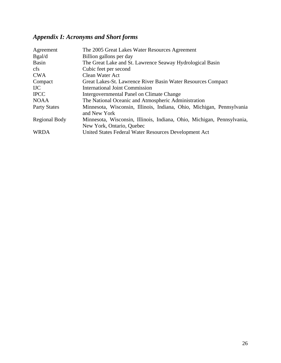# *Appendix I: Acronyms and Short forms*

| Agreement            | The 2005 Great Lakes Water Resources Agreement                                                      |
|----------------------|-----------------------------------------------------------------------------------------------------|
| Bgal/d               | Billion gallons per day                                                                             |
| <b>Basin</b>         | The Great Lake and St. Lawrence Seaway Hydrological Basin                                           |
| <sub>cfs</sub>       | Cubic feet per second                                                                               |
| <b>CWA</b>           | Clean Water Act                                                                                     |
| Compact              | Great Lakes-St. Lawrence River Basin Water Resources Compact                                        |
| <b>IJC</b>           | <b>International Joint Commission</b>                                                               |
| <b>IPCC</b>          | Intergovernmental Panel on Climate Change                                                           |
| <b>NOAA</b>          | The National Oceanic and Atmospheric Administration                                                 |
| <b>Party States</b>  | Minnesota, Wisconsin, Illinois, Indiana, Ohio, Michigan, Pennsylvania<br>and New York               |
| <b>Regional Body</b> | Minnesota, Wisconsin, Illinois, Indiana, Ohio, Michigan, Pennsylvania,<br>New York, Ontario, Quebec |
| <b>WRDA</b>          | United States Federal Water Resources Development Act                                               |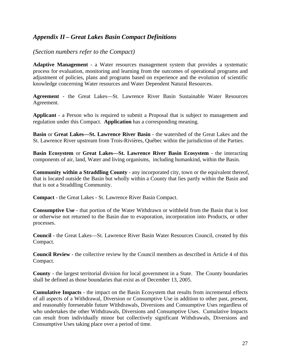#### *Appendix II – Great Lakes Basin Compact Definitions*

#### *(Section numbers refer to the Compact)*

**Adaptive Management** - a Water resources management system that provides a systematic process for evaluation, monitoring and learning from the outcomes of operational programs and adjustment of policies, plans and programs based on experience and the evolution of scientific knowledge concerning Water resources and Water Dependent Natural Resources.

**Agreement** - the Great Lakes—St. Lawrence River Basin Sustainable Water Resources Agreement.

**Applicant** - a Person who is required to submit a Proposal that is subject to management and regulation under this Compact. **Application** has a corresponding meaning.

**Basin** or **Great Lakes—St. Lawrence River Basin** - the watershed of the Great Lakes and the St. Lawrence River upstream from Trois-Rivières, Québec within the jurisdiction of the Parties.

**Basin Ecosystem** or **Great Lakes—St. Lawrence River Basin Ecosystem** - the interacting components of air, land, Water and living organisms, including humankind, within the Basin.

**Community within a Straddling County** - any incorporated city, town or the equivalent thereof, that is located outside the Basin but wholly within a County that lies partly within the Basin and that is not a Straddling Community.

**Compact** - the Great Lakes - St. Lawrence River Basin Compact.

**Consumptive Use** - that portion of the Water Withdrawn or withheld from the Basin that is lost or otherwise not returned to the Basin due to evaporation, incorporation into Products, or other processes.

**Council** - the Great Lakes—St. Lawrence River Basin Water Resources Council, created by this Compact.

**Council Review** - the collective review by the Council members as described in Article 4 of this Compact.

**County** - the largest territorial division for local government in a State. The County boundaries shall be defined as those boundaries that exist as of December 13, 2005.

**Cumulative Impacts** - the impact on the Basin Ecosystem that results from incremental effects of all aspects of a Withdrawal, Diversion or Consumptive Use in addition to other past, present, and reasonably foreseeable future Withdrawals, Diversions and Consumptive Uses regardless of who undertakes the other Withdrawals, Diversions and Consumptive Uses. Cumulative Impacts can result from individually minor but collectively significant Withdrawals, Diversions and Consumptive Uses taking place over a period of time.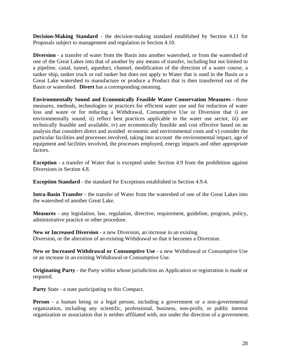**Decision-Making Standard** - the decision-making standard established by Section 4.11 for Proposals subject to management and regulation in Section 4.10.

**Diversion** - a transfer of water from the Basin into another watershed, or from the watershed of one of the Great Lakes into that of another by any means of transfer, including but not limited to a pipeline, canal, tunnel, aqueduct, channel, modification of the direction of a water course, a tanker ship, tanker truck or rail tanker but does not apply to Water that is used in the Basin or a Great Lake watershed to manufacture or produce a Product that is then transferred out of the Basin or watershed. **Divert** has a corresponding meaning.

**Environmentally Sound and Economically Feasible Water Conservation Measures** - those measures, methods, technologies or practices for efficient water use and for reduction of water loss and waste or for reducing a Withdrawal, Consumptive Use or Diversion that i) are environmentally sound, ii) reflect best practices applicable to the water use sector, iii) are technically feasible and available, iv) are economically feasible and cost effective based on an analysis that considers direct and avoided economic and environmental costs and v) consider the particular facilities and processes involved, taking into account the environmental impact, age of equipment and facilities involved, the processes employed, energy impacts and other appropriate factors.

**Exception** - a transfer of Water that is excepted under Section 4.9 from the prohibition against Diversions in Section 4.8.

**Exception Standard** - the standard for Exceptions established in Section 4.9.4.

**Intra-Basin Transfer** - the transfer of Water from the watershed of one of the Great Lakes into the watershed of another Great Lake.

**Measures** - any legislation, law, regulation, directive, requirement, guideline, program, policy, administrative practice or other procedure.

**New or Increased Diversion** - a new Diversion, an increase in an existing Diversion, or the alteration of an existing Withdrawal so that it becomes a Diversion.

**New or Increased Withdrawal or Consumptive Use** - a new Withdrawal or Consumptive Use or an increase in an existing Withdrawal or Consumptive Use.

**Originating Party** - the Party within whose jurisdiction an Application or registration is made or required.

**Party** State - a state participating to this Compact.

**Person** - a human being or a legal person, including a government or a non-governmental organization, including any scientific, professional, business, non-profit, or public interest organization or association that is neither affiliated with, nor under the direction of a government.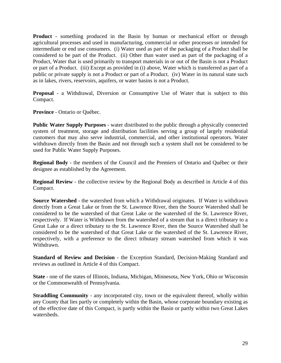**Product** - something produced in the Basin by human or mechanical effort or through agricultural processes and used in manufacturing, commercial or other processes or intended for intermediate or end use consumers. (i) Water used as part of the packaging of a Product shall be considered to be part of the Product. (ii) Other than water used as part of the packaging of a Product, Water that is used primarily to transport materials in or out of the Basin is not a Product or part of a Product. (iii) Except as provided in (i) above, Water which is transferred as part of a public or private supply is not a Product or part of a Product. (iv) Water in its natural state such as in lakes, rivers, reservoirs, aquifers, or water basins is not a Product.

**Proposal** - a Withdrawal, Diversion or Consumptive Use of Water that is subject to this Compact.

**Province** - Ontario or Québec.

**Public Water Supply Purposes** - water distributed to the public through a physically connected system of treatment, storage and distribution facilities serving a group of largely residential customers that may also serve industrial, commercial, and other institutional operators. Water withdrawn directly from the Basin and not through such a system shall not be considered to be used for Public Water Supply Purposes.

**Regional Body** - the members of the Council and the Premiers of Ontario and Québec or their designee as established by the Agreement.

**Regional Review** - the collective review by the Regional Body as described in Article 4 of this Compact.

**Source Watershed** - the watershed from which a Withdrawal originates. If Water is withdrawn directly from a Great Lake or from the St. Lawrence River, then the Source Watershed shall be considered to be the watershed of that Great Lake or the watershed of the St. Lawrence River, respectively. If Water is Withdrawn from the watershed of a stream that is a direct tributary to a Great Lake or a direct tributary to the St. Lawrence River, then the Source Watershed shall be considered to be the watershed of that Great Lake or the watershed of the St. Lawrence River, respectively, with a preference to the direct tributary stream watershed from which it was Withdrawn.

**Standard of Review and Decision** - the Exception Standard, Decision-Making Standard and reviews as outlined in Article 4 of this Compact.

**State** - one of the states of Illinois, Indiana, Michigan, Minnesota, New York, Ohio or Wisconsin or the Commonwealth of Pennsylvania.

**Straddling Community** - any incorporated city, town or the equivalent thereof, wholly within any County that lies partly or completely within the Basin, whose corporate boundary existing as of the effective date of this Compact, is partly within the Basin or partly within two Great Lakes watersheds.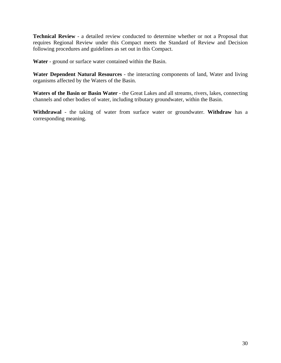**Technical Review** - a detailed review conducted to determine whether or not a Proposal that requires Regional Review under this Compact meets the Standard of Review and Decision following procedures and guidelines as set out in this Compact.

**Water** - ground or surface water contained within the Basin.

**Water Dependent Natural Resources** - the interacting components of land, Water and living organisms affected by the Waters of the Basin.

**Waters of the Basin or Basin Water** - the Great Lakes and all streams, rivers, lakes, connecting channels and other bodies of water, including tributary groundwater, within the Basin.

**Withdrawal** - the taking of water from surface water or groundwater. **Withdraw** has a corresponding meaning.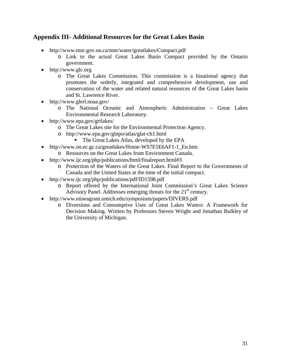#### **Appendix III- Additional Resources for the Great Lakes Basin**

- http://www.mnr.gov.on.ca/mnr/water/greatlakes/Compact.pdf
	- o Link to the actual Great Lakes Basin Compact provided by the Ontario government.
- http://www.glc.org
	- o The Great Lakes Commission. This commission is a binational agency that promotes the orderly, integrated and comprehensive development, use and conservation of the water and related natural resources of the Great Lakes basin and St. Lawrence River.
- http://www.glerl.noaa.gov/
	- o The National Oceanic and Atmospheric Administration Great Lakes Environmental Research Laboratory.
- http://www.epa.gov/grtlakes/
	- o The Great Lakes site for the Environmental Protection Agency.
	- o http://www.epa.gov/glnpo/atlas/glat-ch1.html
		- The Great Lakes Atlas, developed by the EPA
- http://www.on.ec.gc.ca/greatlakes/Home-WS7E5E6AF1-1\_En.htm
	- o Resources on the Great Lakes from Environment Canada.
- http://www.ijc.org/php/publications/html/finalreport.html#3
	- o Protection of the Waters of the Great Lakes. Final Report to the Governments of Canada and the United States at the time of the initial compact.
- http://www.ijc.org/php/publications/pdf/ID1598.pdf
	- o Report offered by the International Joint Commission's Great Lakes Science Advisory Panel. Addresses emerging threats for the  $21<sup>st</sup>$  century.
- http://www.miseagrant.umich.edu/symposium/papers/DIVERS.pdf
	- o Diversions and Consumptive Uses of Great Lakes Waters: A Framework for Decision Making. Written by Professors Steven Wright and Jonathan Bulkley of the University of Michigan.